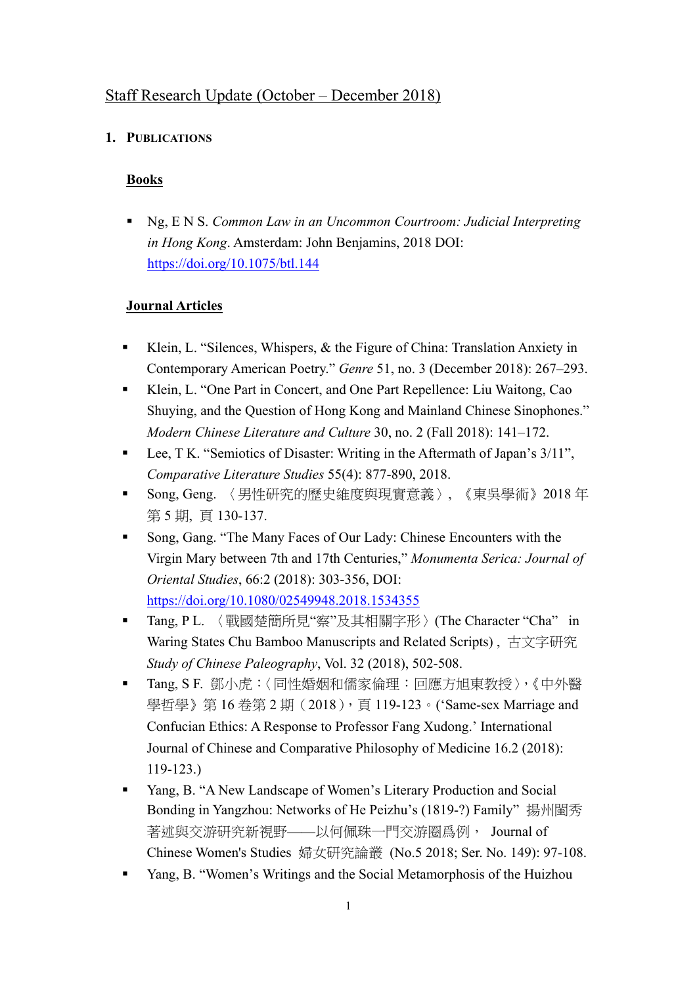# Staff Research Update (October – December 2018)

## **1. PUBLICATIONS**

## **Books**

 Ng, E N S. *Common Law in an Uncommon Courtroom: Judicial Interpreting in Hong Kong*. Amsterdam: John Benjamins, 2018 DOI: https://doi.org/10.1075/btl.144

## **Journal Articles**

- Klein, L. "Silences, Whispers, & the Figure of China: Translation Anxiety in Contemporary American Poetry." *Genre* 51, no. 3 (December 2018): 267–293.
- Klein, L. "One Part in Concert, and One Part Repellence: Liu Waitong, Cao Shuying, and the Question of Hong Kong and Mainland Chinese Sinophones." *Modern Chinese Literature and Culture* 30, no. 2 (Fall 2018): 141–172.
- Lee, T K. "Semiotics of Disaster: Writing in the Aftermath of Japan's 3/11", *Comparative Literature Studies* 55(4): 877-890, 2018.
- Song, Geng. 〈男性研究的歷史維度與現實意義〉, 《東吳學術》2018年 第 5 期, 頁 130-137.
- Song, Gang. "The Many Faces of Our Lady: Chinese Encounters with the Virgin Mary between 7th and 17th Centuries," *Monumenta Serica: Journal of Oriental Studies*, 66:2 (2018): 303-356, DOI: https://doi.org/10.1080/02549948.2018.1534355
- Tang, P L. 〈戰國楚簡所見"察"及其相關字形 > (The Character "Cha" in Waring States Chu Bamboo Manuscripts and Related Scripts) , 古文字研究 *Study of Chinese Paleography*, Vol. 32 (2018), 502-508.
- Tang, S F. 鄧小虎:〈同性婚姻和儒家倫理:回應方旭東教授〉,《中外醫 學哲學》第16卷第2期(2018),頁119-123。('Same-sex Marriage and Confucian Ethics: A Response to Professor Fang Xudong.' International Journal of Chinese and Comparative Philosophy of Medicine 16.2 (2018): 119-123.)
- Yang, B. "A New Landscape of Women's Literary Production and Social Bonding in Yangzhou: Networks of He Peizhu's (1819-?) Family" 揚州閨秀 著述與交游研究新視野——以何佩珠一門交游圈爲例, Journal of Chinese Women's Studies 婦女研究論叢 (No.5 2018; Ser. No. 149): 97-108.
- **EXAMPLE 1.1 The Social Metamorphosis of the Huizhou** Yang, B. "Women's Writings and the Social Metamorphosis of the Huizhou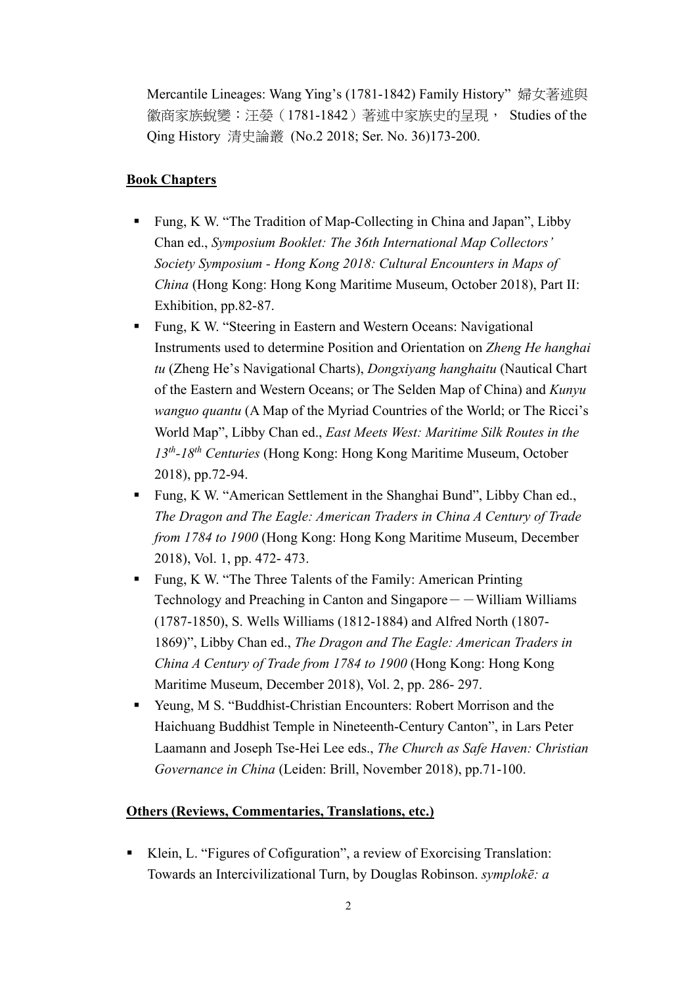Mercantile Lineages: Wang Ying's (1781-1842) Family History" 婦女著述與 徽商家族蛻變:汪嫈(1781-1842)著述中家族史的呈現, Studies of the Qing History 清史論叢 (No.2 2018; Ser. No. 36)173-200.

### **Book Chapters**

- Fung, K W. "The Tradition of Map-Collecting in China and Japan", Libby Chan ed., *Symposium Booklet: The 36th International Map Collectors' Society Symposium - Hong Kong 2018: Cultural Encounters in Maps of China* (Hong Kong: Hong Kong Maritime Museum, October 2018), Part II: Exhibition, pp.82-87.
- Fung, K W. "Steering in Eastern and Western Oceans: Navigational Instruments used to determine Position and Orientation on *Zheng He hanghai tu* (Zheng He's Navigational Charts), *Dongxiyang hanghaitu* (Nautical Chart of the Eastern and Western Oceans; or The Selden Map of China) and *Kunyu wanguo quantu* (A Map of the Myriad Countries of the World; or The Ricci's World Map", Libby Chan ed., *East Meets West: Maritime Silk Routes in the 13th-18th Centuries* (Hong Kong: Hong Kong Maritime Museum, October 2018), pp.72-94.
- Fung, K W. "American Settlement in the Shanghai Bund", Libby Chan ed., *The Dragon and The Eagle: American Traders in China A Century of Trade from 1784 to 1900* (Hong Kong: Hong Kong Maritime Museum, December 2018), Vol. 1, pp. 472- 473.
- **Fung, K W. "The Three Talents of the Family: American Printing** Technology and Preaching in Canton and Singapore  $-$  William Williams (1787-1850), S. Wells Williams (1812-1884) and Alfred North (1807- 1869)", Libby Chan ed., *The Dragon and The Eagle: American Traders in China A Century of Trade from 1784 to 1900* (Hong Kong: Hong Kong Maritime Museum, December 2018), Vol. 2, pp. 286- 297.
- Yeung, M S. "Buddhist-Christian Encounters: Robert Morrison and the Haichuang Buddhist Temple in Nineteenth-Century Canton", in Lars Peter Laamann and Joseph Tse-Hei Lee eds., *The Church as Safe Haven: Christian Governance in China* (Leiden: Brill, November 2018), pp.71-100.

#### **Others (Reviews, Commentaries, Translations, etc.)**

 Klein, L. "Figures of Cofiguration", a review of Exorcising Translation: Towards an Intercivilizational Turn, by Douglas Robinson. *symplokē: a*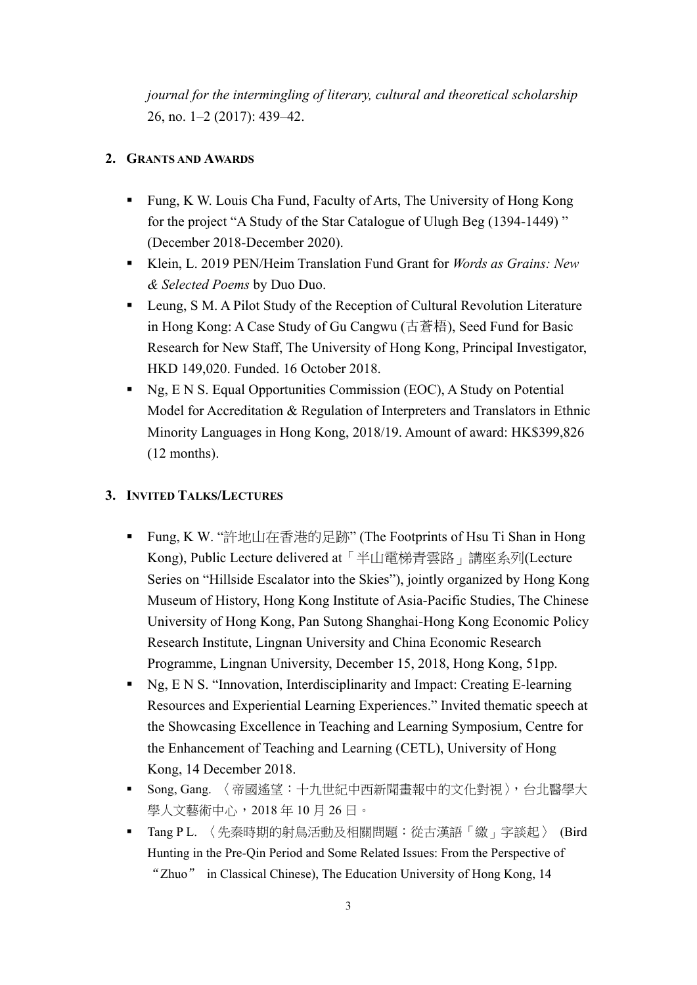*journal for the intermingling of literary, cultural and theoretical scholarship* 26, no. 1–2 (2017): 439–42.

## **2. GRANTS AND AWARDS**

- Fung, K W. Louis Cha Fund, Faculty of Arts, The University of Hong Kong for the project "A Study of the Star Catalogue of Ulugh Beg (1394-1449) " (December 2018-December 2020).
- Klein, L. 2019 PEN/Heim Translation Fund Grant for *Words as Grains: New & Selected Poems* by Duo Duo.
- Leung, S M. A Pilot Study of the Reception of Cultural Revolution Literature in Hong Kong: A Case Study of Gu Cangwu (古蒼梧), Seed Fund for Basic Research for New Staff, The University of Hong Kong, Principal Investigator, HKD 149,020. Funded. 16 October 2018.
- Ng, E N S. Equal Opportunities Commission (EOC), A Study on Potential Model for Accreditation & Regulation of Interpreters and Translators in Ethnic Minority Languages in Hong Kong, 2018/19. Amount of award: HK\$399,826 (12 months).

## **3. INVITED TALKS/LECTURES**

- Fung, K W. "許地山在香港的足跡" (The Footprints of Hsu Ti Shan in Hong Kong), Public Lecture delivered at「半山電梯青雲路」講座系列(Lecture Series on "Hillside Escalator into the Skies"), jointly organized by Hong Kong Museum of History, Hong Kong Institute of Asia-Pacific Studies, The Chinese University of Hong Kong, Pan Sutong Shanghai-Hong Kong Economic Policy Research Institute, Lingnan University and China Economic Research Programme, Lingnan University, December 15, 2018, Hong Kong, 51pp.
- Ng, E N S. "Innovation, Interdisciplinarity and Impact: Creating E-learning Resources and Experiential Learning Experiences." Invited thematic speech at the Showcasing Excellence in Teaching and Learning Symposium, Centre for the Enhancement of Teaching and Learning (CETL), University of Hong Kong, 14 December 2018.
- Song, Gang. 〈帝國遙望:十九世紀中西新聞畫報中的文化對視〉,台北醫學大 學人文藝術中心,2018 年 10 月 26 日。
- Tang P L. 〈先秦時期的射鳥活動及相關問題:從古漢語「繳」字談起〉 (Bird Hunting in the Pre-Qin Period and Some Related Issues: From the Perspective of "Zhuo" in Classical Chinese), The Education University of Hong Kong, 14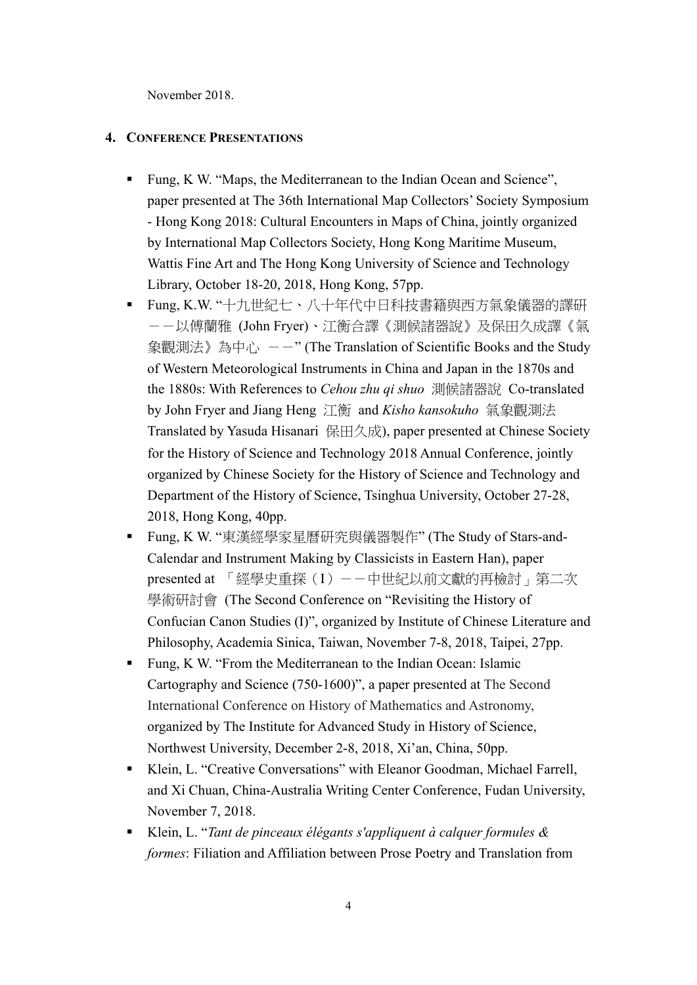November 2018.

#### **4. CONFERENCE PRESENTATIONS**

- Fung, K W. "Maps, the Mediterranean to the Indian Ocean and Science", paper presented at The 36th International Map Collectors' Society Symposium - Hong Kong 2018: Cultural Encounters in Maps of China, jointly organized by International Map Collectors Society, Hong Kong Maritime Museum, Wattis Fine Art and The Hong Kong University of Science and Technology Library, October 18-20, 2018, Hong Kong, 57pp.
- Fung, K.W. "十九世紀七、八十年代中日科技書籍與西方氣象儀器的譯硏 --以傅蘭雅 (John Fryer)、江衡合譯《測候諸器說》及保田久成譯《氣 象觀測法》為中心 --" (The Translation of Scientific Books and the Study of Western Meteorological Instruments in China and Japan in the 1870s and the 1880s: With References to *Cehou zhu qi shuo* 測候諸器說 Co-translated by John Fryer and Jiang Heng 江衡 and *Kisho kansokuho* 氣象觀測法 Translated by Yasuda Hisanari 保田久成), paper presented at Chinese Society for the History of Science and Technology 2018 Annual Conference, jointly organized by Chinese Society for the History of Science and Technology and Department of the History of Science, Tsinghua University, October 27-28, 2018, Hong Kong, 40pp.
- Fung, K W. "東漢經學家星曆研究與儀器製作" (The Study of Stars-and-Calendar and Instrument Making by Classicists in Eastern Han), paper presented at 「經學史重探(I)--中世紀以前文獻的再檢討」第二次 學術研討會 (The Second Conference on "Revisiting the History of Confucian Canon Studies (I)", organized by Institute of Chinese Literature and Philosophy, Academia Sinica, Taiwan, November 7-8, 2018, Taipei, 27pp.
- Fung, K W. "From the Mediterranean to the Indian Ocean: Islamic Cartography and Science (750-1600)", a paper presented at The Second International Conference on History of Mathematics and Astronomy, organized by The Institute for Advanced Study in History of Science, Northwest University, December 2-8, 2018, Xi'an, China, 50pp.
- Klein, L. "Creative Conversations" with Eleanor Goodman, Michael Farrell, and Xi Chuan, China-Australia Writing Center Conference, Fudan University, November 7, 2018.
- Klein, L. "*Tant de pinceaux élégants s'appliquent à calquer formules & formes*: Filiation and Affiliation between Prose Poetry and Translation from